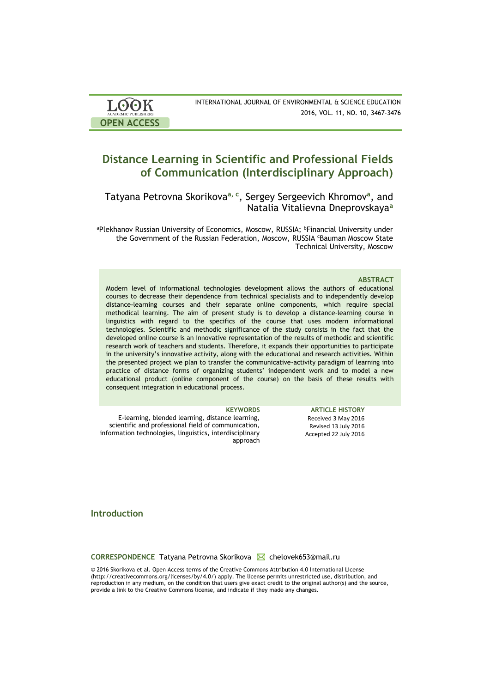| <b>LOOK</b>                | INTERNATIONAL JOURNAL OF ENVIRONMENTAL & SCIENCE EDUCATION |
|----------------------------|------------------------------------------------------------|
| <b>ACADEMIC PUBLISHERS</b> | 2016, VOL. 11, NO. 10, 3467-3476                           |
| <b>OPEN ACCESS</b>         |                                                            |

# **Distance Learning in Scientific and Professional Fields of Communication (Interdisciplinary Approach)**

Tatyana Petrovna Skorikova**a, <sup>с</sup>** , Sergey Sergeevich Khromov**<sup>a</sup>** , and Natalia Vitalievna Dneprovskaya**<sup>a</sup>**

aPlekhanov Russian University of Economics, Moscow, RUSSIA; <sup>b</sup>Financial University under the Government of the Russian Federation, Moscow, RUSSIA <sup>c</sup>Bauman Moscow State Technical University, Moscow

### **ABSTRACT**

Modern level of informational technologies development allows the authors of educational courses to decrease their dependence from technical specialists and to independently develop distance-learning courses and their separate online components, which require special methodical learning. The aim of present study is to develop a distance-learning course in linguistics with regard to the specifics of the course that uses modern informational technologies. Scientific and methodic significance of the study consists in the fact that the developed online course is an innovative representation of the results of methodic and scientific research work of teachers and students. Therefore, it expands their opportunities to participate in the university's innovative activity, along with the educational and research activities. Within the presented project we plan to transfer the communicative-activity paradigm of learning into practice of distance forms of organizing students' independent work and to model a new educational product (online component of the course) on the basis of these results with consequent integration in educational process.

| <b>KEYWORDS</b>                                          | <b>ARTICLE HISTORY</b> |
|----------------------------------------------------------|------------------------|
| E-learning, blended learning, distance learning,         | Received 3 May 2016    |
| scientific and professional field of communication,      | Revised 13 July 2016   |
| information technologies, linguistics, interdisciplinary | Accepted 22 July 2016  |
| approach                                                 |                        |

## **Introduction**

**CORRESPONDENCE** Tatyana Petrovna Skorikova **⊠** chelovek653@mail.ru

© 2016 Skorikova et al. Open Access terms of the Creative Commons Attribution 4.0 International License (http://creativecommons.org/licenses/by/4.0/) apply. The license permits unrestricted use, distribution, and reproduction in any medium, on the condition that users give exact credit to the original author(s) and the source, provide a link to the Creative Commons license, and indicate if they made any changes.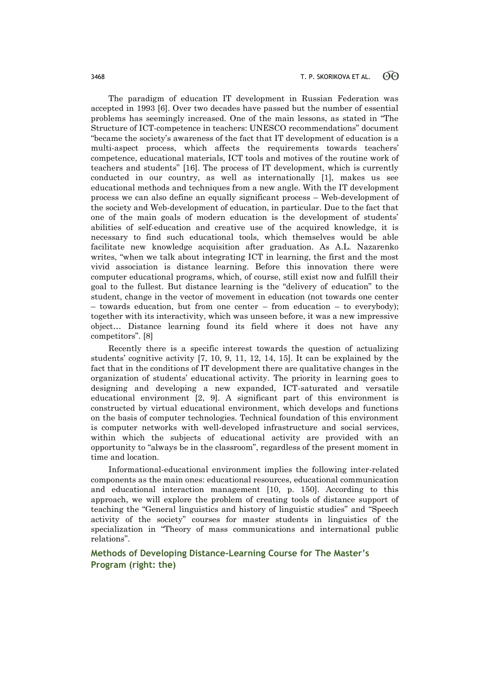The paradigm of education IT development in Russian Federation was accepted in 1993 [6]. Over two decades have passed but the number of essential problems has seemingly increased. One of the main lessons, as stated in "The Structure of ICT-competence in teachers: UNESCO recommendations" document "became the society's awareness of the fact that IT development of education is a multi-aspect process, which affects the requirements towards teachers' competence, educational materials, ICT tools and motives of the routine work of teachers and students" [16]. The process of IT development, which is currently conducted in our country, as well as internationally [1], makes us see educational methods and techniques from a new angle. With the IT development process we can also define an equally significant process – Web-development of the society and Web-development of education, in particular. Due to the fact that one of the main goals of modern education is the development of students' abilities of self-education and creative use of the acquired knowledge, it is necessary to find such educational tools, which themselves would be able facilitate new knowledge acquisition after graduation. As A.L. Nazarenko writes, "when we talk about integrating ICT in learning, the first and the most vivid association is distance learning. Before this innovation there were computer educational programs, which, of course, still exist now and fulfill their goal to the fullest. But distance learning is the "delivery of education" to the student, change in the vector of movement in education (not towards one center – towards education, but from one center – from education – to everybody); together with its interactivity, which was unseen before, it was a new impressive object… Distance learning found its field where it does not have any competitors". [8]

Recently there is a specific interest towards the question of actualizing students' cognitive activity [7, 10, 9, 11, 12, 14, 15]. It can be explained by the fact that in the conditions of IT development there are qualitative changes in the organization of students' educational activity. The priority in learning goes to designing and developing a new expanded, ICT-saturated and versatile educational environment [2, 9]. A significant part of this environment is constructed by virtual educational environment, which develops and functions on the basis of computer technologies. Technical foundation of this environment is computer networks with well-developed infrastructure and social services, within which the subjects of educational activity are provided with an opportunity to "always be in the classroom", regardless of the present moment in time and location.

Informational-educational environment implies the following inter-related components as the main ones: educational resources, educational communication and educational interaction management [10, p. 150]. According to this approach, we will explore the problem of creating tools of distance support of teaching the "General linguistics and history of linguistic studies" and "Speech activity of the society" courses for master students in linguistics of the specialization in "Theory of mass communications and international public relations".

## **Methods of Developing Distance-Learning Course for The Master's Program (right: the)**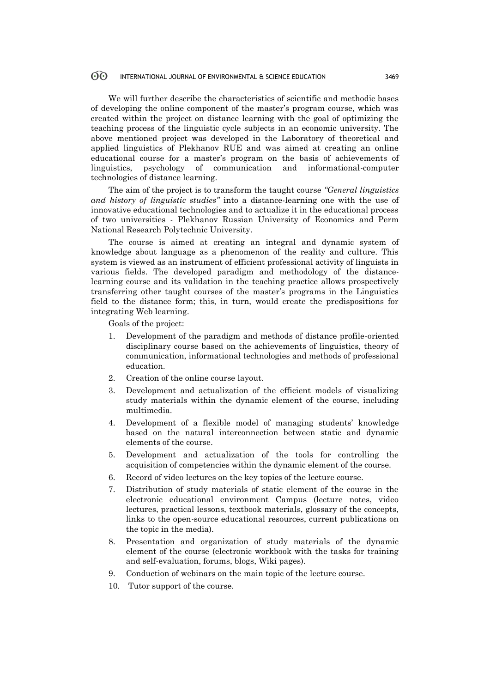We will further describe the characteristics of scientific and methodic bases of developing the online component of the master's program course, which was created within the project on distance learning with the goal of optimizing the teaching process of the linguistic cycle subjects in an economic university. The above mentioned project was developed in the Laboratory of theoretical and applied linguistics of Plekhanov RUE and was aimed at creating an online educational course for a master's program on the basis of achievements of linguistics, psychology of communication and informational-computer technologies of distance learning.

The aim of the project is to transform the taught course *"General linguistics and history of linguistic studies"* into a distance-learning one with the use of innovative educational technologies and to actualize it in the educational process of two universities - Plekhanov Russian University of Economics and Perm National Research Polytechnic University.

The course is aimed at creating an integral and dynamic system of knowledge about language as a phenomenon of the reality and culture. This system is viewed as an instrument of efficient professional activity of linguists in various fields. The developed paradigm and methodology of the distancelearning course and its validation in the teaching practice allows prospectively transferring other taught courses of the master's programs in the Linguistics field to the distance form; this, in turn, would create the predispositions for integrating Web learning.

Goals of the project:

- 1. Development of the paradigm and methods of distance profile-oriented disciplinary course based on the achievements of linguistics, theory of communication, informational technologies and methods of professional education.
- 2. Creation of the online course layout.
- 3. Development and actualization of the efficient models of visualizing study materials within the dynamic element of the course, including multimedia.
- 4. Development of a flexible model of managing students' knowledge based on the natural interconnection between static and dynamic elements of the course.
- 5. Development and actualization of the tools for controlling the acquisition of competencies within the dynamic element of the course.
- 6. Record of video lectures on the key topics of the lecture course.
- 7. Distribution of study materials of static element of the course in the electronic educational environment Campus (lecture notes, video lectures, practical lessons, textbook materials, glossary of the concepts, links to the open-source educational resources, current publications on the topic in the media).
- 8. Presentation and organization of study materials of the dynamic element of the course (electronic workbook with the tasks for training and self-evaluation, forums, blogs, Wiki pages).
- 9. Conduction of webinars on the main topic of the lecture course.
- 10. Tutor support of the course.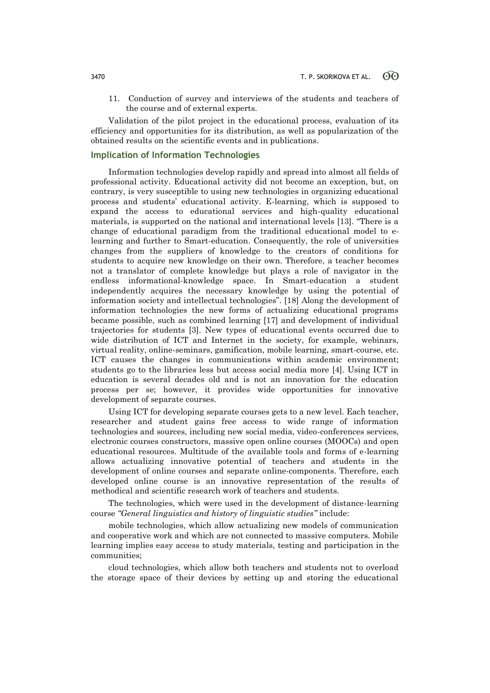11. Conduction of survey and interviews of the students and teachers of the course and of external experts.

Validation of the pilot project in the educational process, evaluation of its efficiency and opportunities for its distribution, as well as popularization of the obtained results on the scientific events and in publications.

## **Implication of Information Technologies**

Information technologies develop rapidly and spread into almost all fields of professional activity. Educational activity did not become an exception, but, on contrary, is very susceptible to using new technologies in organizing educational process and students' educational activity. E-learning, which is supposed to expand the access to educational services and high-quality educational materials, is supported on the national and international levels [13]. "There is a change of educational paradigm from the traditional educational model to elearning and further to Smart-education. Consequently, the role of universities changes from the suppliers of knowledge to the creators of conditions for students to acquire new knowledge on their own. Therefore, a teacher becomes not a translator of complete knowledge but plays a role of navigator in the endless informational-knowledge space. In Smart-education a student independently acquires the necessary knowledge by using the potential of information society and intellectual technologies". [18] Along the development of information technologies the new forms of actualizing educational programs became possible, such as combined learning [17] and development of individual trajectories for students [3]. New types of educational events occurred due to wide distribution of ICT and Internet in the society, for example, webinars, virtual reality, online-seminars, gamification, mobile learning, smart-course, etc. ICT causes the changes in communications within academic environment; students go to the libraries less but access social media more [4]. Using ICT in education is several decades old and is not an innovation for the education process per se; however, it provides wide opportunities for innovative development of separate courses.

Using ICT for developing separate courses gets to a new level. Each teacher, researcher and student gains free access to wide range of information technologies and sources, including new social media, video-conferences services, electronic courses constructors, massive open online courses (MOOCs) and open educational resources. Multitude of the available tools and forms of e-learning allows actualizing innovative potential of teachers and students in the development of online courses and separate online-components. Therefore, each developed online course is an innovative representation of the results of methodical and scientific research work of teachers and students.

The technologies, which were used in the development of distance-learning course *"General linguistics and history of linguistic studies"* include:

mobile technologies, which allow actualizing new models of communication and cooperative work and which are not connected to massive computers. Mobile learning implies easy access to study materials, testing and participation in the communities;

cloud technologies, which allow both teachers and students not to overload the storage space of their devices by setting up and storing the educational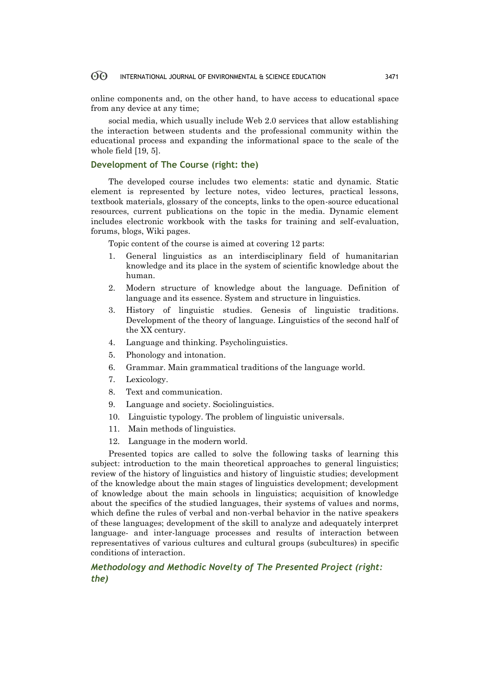online components and, on the other hand, to have access to educational space from any device at any time;

social media, which usually include Web 2.0 services that allow establishing the interaction between students and the professional community within the educational process and expanding the informational space to the scale of the whole field [19, 5].

## **Development of The Course (right: the)**

The developed course includes two elements: static and dynamic. Static element is represented by lecture notes, video lectures, practical lessons, textbook materials, glossary of the concepts, links to the open-source educational resources, current publications on the topic in the media. Dynamic element includes electronic workbook with the tasks for training and self-evaluation, forums, blogs, Wiki pages.

Topic content of the course is aimed at covering 12 parts:

- 1. General linguistics as an interdisciplinary field of humanitarian knowledge and its place in the system of scientific knowledge about the human.
- 2. Modern structure of knowledge about the language. Definition of language and its essence. System and structure in linguistics.
- 3. History of linguistic studies. Genesis of linguistic traditions. Development of the theory of language. Linguistics of the second half of the XX century.
- 4. Language and thinking. Psycholinguistics.
- 5. Phonology and intonation.
- 6. Grammar. Main grammatical traditions of the language world.
- 7. Lexicology.
- 8. Text and communication.
- 9. Language and society. Sociolinguistics.
- 10. Linguistic typology. The problem of linguistic universals.
- 11. Main methods of linguistics.
- 12. Language in the modern world.

Presented topics are called to solve the following tasks of learning this subject: introduction to the main theoretical approaches to general linguistics; review of the history of linguistics and history of linguistic studies; development of the knowledge about the main stages of linguistics development; development of knowledge about the main schools in linguistics; acquisition of knowledge about the specifics of the studied languages, their systems of values and norms, which define the rules of verbal and non-verbal behavior in the native speakers of these languages; development of the skill to analyze and adequately interpret language- and inter-language processes and results of interaction between representatives of various cultures and cultural groups (subcultures) in specific conditions of interaction.

## *Methodology and Methodic Novelty of The Presented Project (right: the)*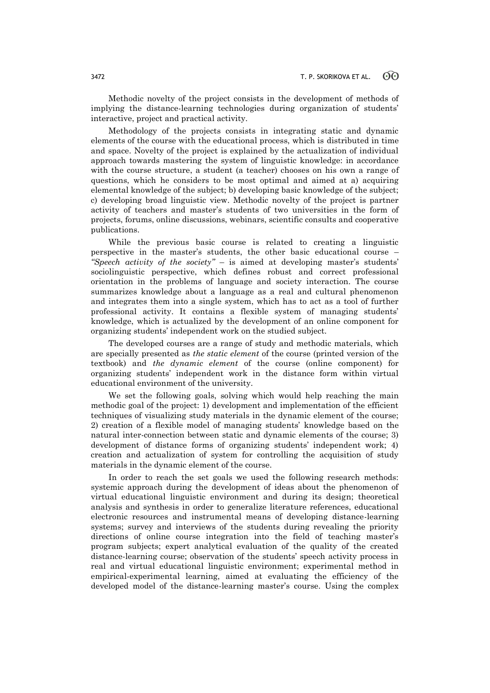Methodic novelty of the project consists in the development of methods of implying the distance-learning technologies during organization of students' interactive, project and practical activity.

Methodology of the projects consists in integrating static and dynamic elements of the course with the educational process, which is distributed in time and space. Novelty of the project is explained by the actualization of individual approach towards mastering the system of linguistic knowledge: in accordance with the course structure, a student (a teacher) chooses on his own a range of questions, which he considers to be most optimal and aimed at a) acquiring elemental knowledge of the subject; b) developing basic knowledge of the subject; c) developing broad linguistic view. Methodic novelty of the project is partner activity of teachers and master's students of two universities in the form of projects, forums, online discussions, webinars, scientific consults and cooperative publications.

While the previous basic course is related to creating a linguistic perspective in the master's students, the other basic educational course – *"Speech activity of the society"* – is aimed at developing master's students' sociolinguistic perspective, which defines robust and correct professional orientation in the problems of language and society interaction. The course summarizes knowledge about a language as a real and cultural phenomenon and integrates them into a single system, which has to act as a tool of further professional activity. It contains a flexible system of managing students' knowledge, which is actualized by the development of an online component for organizing students' independent work on the studied subject.

The developed courses are a range of study and methodic materials, which are specially presented as *the static element* of the course (printed version of the textbook) and *the dynamic element* of the course (online component) for organizing students' independent work in the distance form within virtual educational environment of the university.

We set the following goals, solving which would help reaching the main methodic goal of the project: 1) development and implementation of the efficient techniques of visualizing study materials in the dynamic element of the course; 2) creation of a flexible model of managing students' knowledge based on the natural inter-connection between static and dynamic elements of the course; 3) development of distance forms of organizing students' independent work; 4) creation and actualization of system for controlling the acquisition of study materials in the dynamic element of the course.

In order to reach the set goals we used the following research methods: systemic approach during the development of ideas about the phenomenon of virtual educational linguistic environment and during its design; theoretical analysis and synthesis in order to generalize literature references, educational electronic resources and instrumental means of developing distance-learning systems; survey and interviews of the students during revealing the priority directions of online course integration into the field of teaching master's program subjects; expert analytical evaluation of the quality of the created distance-learning course; observation of the students' speech activity process in real and virtual educational linguistic environment; experimental method in empirical-experimental learning, aimed at evaluating the efficiency of the developed model of the distance-learning master's course. Using the complex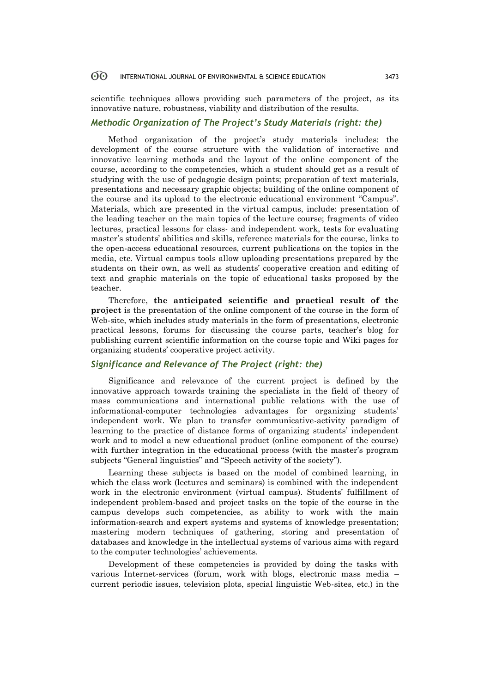scientific techniques allows providing such parameters of the project, as its innovative nature, robustness, viability and distribution of the results.

## *Methodic Organization of The Project's Study Materials (right: the)*

Method organization of the project's study materials includes: the development of the course structure with the validation of interactive and innovative learning methods and the layout of the online component of the course, according to the competencies, which a student should get as a result of studying with the use of pedagogic design points; preparation of text materials, presentations and necessary graphic objects; building of the online component of the course and its upload to the electronic educational environment "Campus". Materials, which are presented in the virtual campus, include: presentation of the leading teacher on the main topics of the lecture course; fragments of video lectures, practical lessons for class- and independent work, tests for evaluating master's students' abilities and skills, reference materials for the course, links to the open-access educational resources, current publications on the topics in the media, etc. Virtual campus tools allow uploading presentations prepared by the students on their own, as well as students' cooperative creation and editing of text and graphic materials on the topic of educational tasks proposed by the teacher.

Therefore, **the anticipated scientific and practical result of the project** is the presentation of the online component of the course in the form of Web-site, which includes study materials in the form of presentations, electronic practical lessons, forums for discussing the course parts, teacher's blog for publishing current scientific information on the course topic and Wiki pages for organizing students' cooperative project activity.

## *Significance and Relevance of The Project (right: the)*

Significance and relevance of the current project is defined by the innovative approach towards training the specialists in the field of theory of mass communications and international public relations with the use of informational-computer technologies advantages for organizing students' independent work. We plan to transfer communicative-activity paradigm of learning to the practice of distance forms of organizing students' independent work and to model a new educational product (online component of the course) with further integration in the educational process (with the master's program subjects "General linguistics" and "Speech activity of the society").

Learning these subjects is based on the model of combined learning, in which the class work (lectures and seminars) is combined with the independent work in the electronic environment (virtual campus). Students' fulfillment of independent problem-based and project tasks on the topic of the course in the campus develops such competencies, as ability to work with the main information-search and expert systems and systems of knowledge presentation; mastering modern techniques of gathering, storing and presentation of databases and knowledge in the intellectual systems of various aims with regard to the computer technologies' achievements.

Development of these competencies is provided by doing the tasks with various Internet-services (forum, work with blogs, electronic mass media – current periodic issues, television plots, special linguistic Web-sites, etc.) in the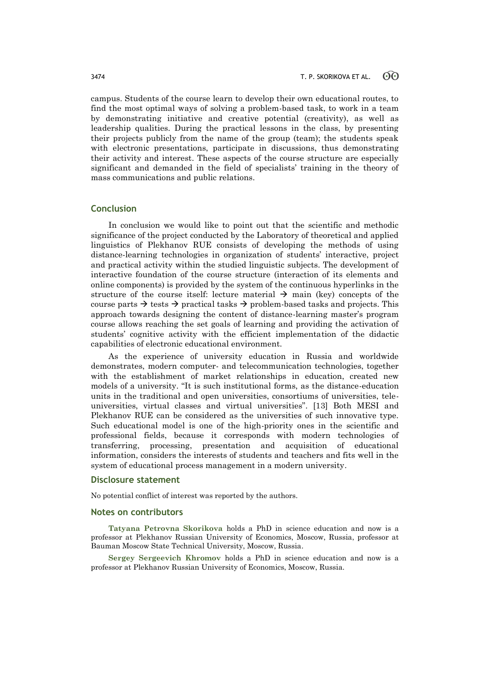campus. Students of the course learn to develop their own educational routes, to find the most optimal ways of solving a problem-based task, to work in a team by demonstrating initiative and creative potential (creativity), as well as leadership qualities. During the practical lessons in the class, by presenting their projects publicly from the name of the group (team); the students speak with electronic presentations, participate in discussions, thus demonstrating their activity and interest. These aspects of the course structure are especially significant and demanded in the field of specialists' training in the theory of mass communications and public relations.

## **Conclusion**

In conclusion we would like to point out that the scientific and methodic significance of the project conducted by the Laboratory of theoretical and applied linguistics of Plekhanov RUE consists of developing the methods of using distance-learning technologies in organization of students' interactive, project and practical activity within the studied linguistic subjects. The development of interactive foundation of the course structure (interaction of its elements and online components) is provided by the system of the continuous hyperlinks in the structure of the course itself: lecture material  $\rightarrow$  main (key) concepts of the course parts  $\rightarrow$  tests  $\rightarrow$  practical tasks  $\rightarrow$  problem-based tasks and projects. This approach towards designing the content of distance-learning master's program course allows reaching the set goals of learning and providing the activation of students' cognitive activity with the efficient implementation of the didactic capabilities of electronic educational environment.

As the experience of university education in Russia and worldwide demonstrates, modern computer- and telecommunication technologies, together with the establishment of market relationships in education, created new models of a university. "It is such institutional forms, as the distance-education units in the traditional and open universities, consortiums of universities, teleuniversities, virtual classes and virtual universities". [13] Both MESI and Plekhanov RUE can be considered as the universities of such innovative type. Such educational model is one of the high-priority ones in the scientific and professional fields, because it corresponds with modern technologies of transferring, processing, presentation and acquisition of educational information, considers the interests of students and teachers and fits well in the system of educational process management in a modern university.

### **Disclosure statement**

No potential conflict of interest was reported by the authors.

### **Notes on contributors**

**Tatyana Petrovna Skorikova** holds a PhD in science education and now is a professor at Plekhanov Russian University of Economics, Moscow, Russia, professor at Bauman Moscow State Technical University, Moscow, Russia.

**Sergey Sergeevich Khromov** holds a PhD in science education and now is a professor at Plekhanov Russian University of Economics, Moscow, Russia.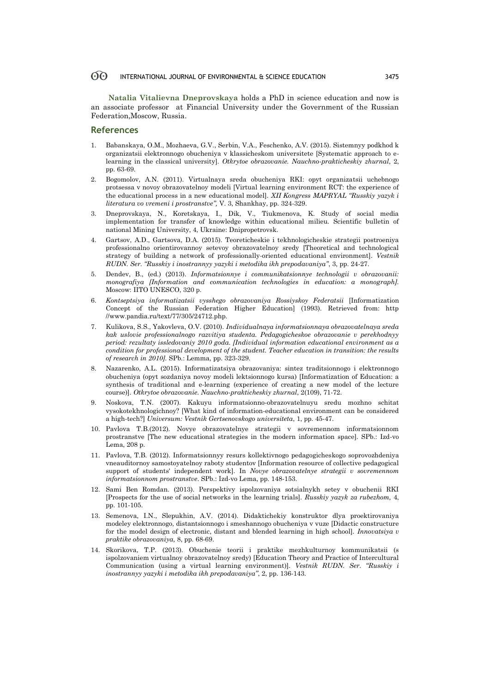**Natalia Vitalievna Dneprovskaya** holds a PhD in science education and now is an associate professor at Financial University under the Government of the Russian Federation,Moscow, Russia.

### **References**

- 1. Babanskaya, O.M., Mozhaeva, G.V., Serbin, V.A., Feschenko, A.V. (2015). Sistemnyy podkhod k organizatsii elektronnogo obucheniya v klassicheskom universitete [Systematic approach to elearning in the classical university]. *Otkrytoe obrazovanie. Nauchno-prakticheskiy zhurnal*, 2, pp. 63-69.
- 2. Bogomolov, A.N. (2011). Virtualnaya sreda obucheniya RKI: opyt organizatsii uchebnogo protsessa v novoy obrazovatelnoy modeli [Virtual learning environment RCT: the experience of the educational process in a new educational model]. *XII Kongress MAPRYAL "Russkiy yazyk i literatura vo vremeni i prostranstve",* V. 3, Shankhay, pp. 324-329.
- 3. Dneprovskaya, N., Koretskaya, I., Dik, V., Tiukmenova, K. Study of social media implementation for transfer of knowledge within educational milieu. Scientific bulletin of national Mining University, 4, Ukraine: Dnipropetrovsk.
- 4. Gartsov, A.D., Gartsova, D.A. (2015). Teoreticheskie i tekhnologicheskie strategii postroeniya professionalno orientirovannoy setevoy obrazovatelnoy sredy [Theoretical and technological strategy of building a network of professionally-oriented educational environment]. *Vestnik RUDN. Ser. "Russkiy i inostrannyy yazyki i metodika ikh prepodavaniya"*, 3, pp. 24-27.
- 5. Dendev, B., (ed.) (2013). *Informatsionnye i communikatsionnye technologii v obrazovanii: monografiya [Information and communication technologies in education: a monograph].* Moscow: IITO UNESCO, 320 p.
- 6. *Kontseptsiya informatizatsii vysshego obrazovaniya Rossiyskoy Federatsii* [Informatization Concept of the Russian Federation Higher Education] (1993). Retrieved from: http //www.pandia.ru/text/77/305/24712.php.
- 7. Kulikova, S.S., Yakovleva, O.V. (2010). *Individualnaya informatsionnaya obrazovatelnaya sreda kak uslovie professionalnogo razvitiya studenta. Pedagogicheskoe obrazovanie v perekhodnyy period: rezultaty issledovaniy 2010 goda. [Individual information educational environment as a condition for professional development of the student. Teacher education in transition: the results of research in 2010].* SPb.: Lemma, pp. 323-329.
- 8. Nazarenko, A.L. (2015). Informatizatsiya obrazovaniya: sintez traditsionnogo i elektronnogo obucheniya (opyt sozdaniya novoy modeli lektsionnogo kursa) [Informatization of Education: a synthesis of traditional and e-learning (experience of creating a new model of the lecture course)]. *Otkrytoe obrazovanie. Nauchno-prakticheskiy zhurnal*, 2(109), 71-72.
- 9. Noskova, T.N. (2007). Kakuyu informatsionno-obrazovatelnuyu sredu mozhno schitat vysokotekhnologichnoy? [What kind of information-educational environment can be considered a high-tech?] *Universum: Vestnik Gertsenovskogo universiteta*, 1, pp. 45-47.
- 10. Pavlova T.B.(2012). Novye obrazovatelnye strategii v sovremennom informatsionnom prostranstve [The new educational strategies in the modern information space]. SPb.: Izd-vo Lema, 208 p.
- 11. Pavlova, T.B. (2012). Informatsionnyy resurs kollektivnogo pedagogicheskogo soprovozhdeniya vneauditornoy samostoyatelnoy raboty studentov [Information resource of collective pedagogical support of students' independent work]. In *Novye obrazovatelnye strategii v sovremennom informatsionnom prostranstve*. SPb.: Izd-vo Lema, pp. 148-153.
- 12. Sami Ben Romdan. (2013). Perspektivy ispolzovaniya sotsialnykh setey v obuchenii RKI [Prospects for the use of social networks in the learning trials]. *Russkiy yazyk za rubezhom,* 4, pp. 101-105.
- 13. Semenova, I.N., Slepukhin, A.V. (2014). Didaktichekiy konstruktor dlya proektirovaniya modeley elektronnogo, distantsionnogo i smeshannogo obucheniya v vuze [Didactic constructure for the model design of electronic, distant and blended learning in high school]. *Innovatsiya v praktike obrazovaniya,* 8, pp. 68-69.
- 14. Skorikova, T.P. (2013). Obuchenie teorii i praktike mezhkulturnoy kommunikatsii (s ispolzovaniem virtualnoy obrazovatelnoy sredy) [Education Theory and Practice of Intercultural Communication (using a virtual learning environment)]. *Vestnik RUDN. Ser. "Russkiy i inostrannyy yazyki i metodika ikh prepodavaniya"*, 2, pp. 136-143.